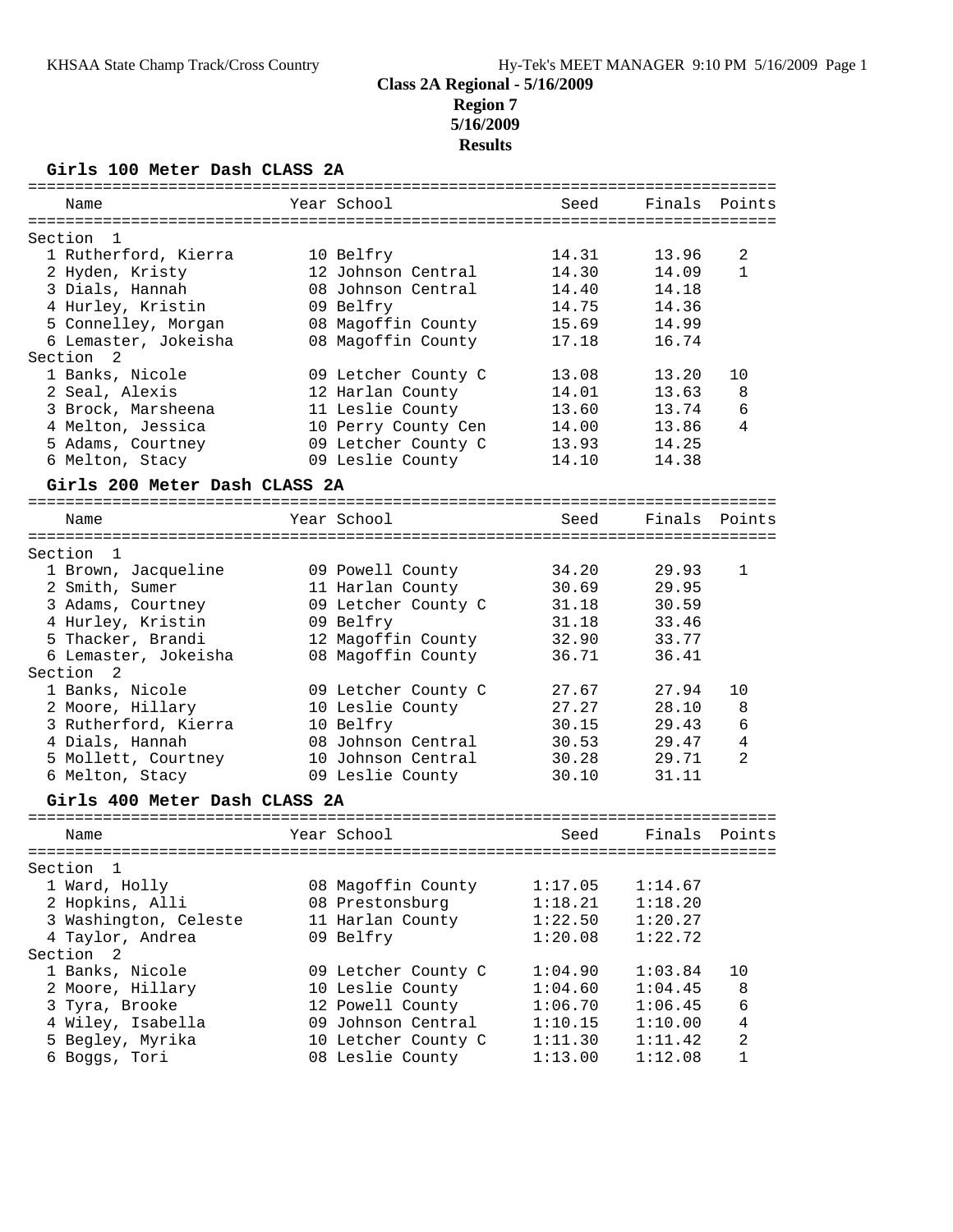**Region 7 5/16/2009**

## **Results**

# **Girls 100 Meter Dash CLASS 2A**

| =============<br>Name         | Year School         | --------------------<br>Seed | Finals  | Points         |
|-------------------------------|---------------------|------------------------------|---------|----------------|
| Section<br>$\mathbf{1}$       |                     |                              |         |                |
| 1 Rutherford, Kierra          | 10 Belfry           | 14.31                        | 13.96   | 2              |
| 2 Hyden, Kristy               | 12 Johnson Central  | 14.30                        | 14.09   | 1              |
| 3 Dials, Hannah               | 08 Johnson Central  | 14.40                        | 14.18   |                |
| 4 Hurley, Kristin             | 09 Belfry           | 14.75                        | 14.36   |                |
| 5 Connelley, Morgan           | 08 Magoffin County  | 15.69                        | 14.99   |                |
| 6 Lemaster, Jokeisha          | 08 Magoffin County  | 17.18                        | 16.74   |                |
| Section<br>2                  |                     |                              |         |                |
| 1 Banks, Nicole               | 09 Letcher County C | 13.08                        | 13.20   | 10             |
| 2 Seal, Alexis                | 12 Harlan County    | 14.01                        | 13.63   | 8              |
| 3 Brock, Marsheena            | 11 Leslie County    | 13.60                        | 13.74   | 6              |
| 4 Melton, Jessica             | 10 Perry County Cen | 14.00                        | 13.86   | 4              |
| 5 Adams, Courtney             | 09 Letcher County C | 13.93                        | 14.25   |                |
| 6 Melton, Stacy               | 09 Leslie County    | 14.10                        | 14.38   |                |
|                               |                     |                              |         |                |
| Girls 200 Meter Dash CLASS 2A |                     |                              |         |                |
| Name                          | Year School         | Seed                         | Finals  | Points         |
| Section<br>1                  |                     |                              |         |                |
| 1 Brown, Jacqueline           | 09 Powell County    | 34.20                        | 29.93   | 1              |
| 2 Smith, Sumer                | 11 Harlan County    | 30.69                        | 29.95   |                |
| 3 Adams, Courtney             | 09 Letcher County C | 31.18                        | 30.59   |                |
| 4 Hurley, Kristin             | 09 Belfry           | 31.18                        | 33.46   |                |
| 5 Thacker, Brandi             | 12 Magoffin County  | 32.90                        | 33.77   |                |
| 6 Lemaster, Jokeisha          | 08 Magoffin County  | 36.71                        | 36.41   |                |
| Section<br>2                  |                     |                              |         |                |
| 1 Banks, Nicole               | 09 Letcher County C | 27.67                        | 27.94   | 10             |
| 2 Moore, Hillary              | 10 Leslie County    | 27.27                        | 28.10   | 8              |
| 3 Rutherford, Kierra          | 10 Belfry           | 30.15                        | 29.43   | 6              |
| 4 Dials, Hannah               | 08 Johnson Central  | 30.53                        | 29.47   | 4              |
| 5 Mollett, Courtney           | 10 Johnson Central  | 30.28                        | 29.71   | 2              |
| 6 Melton, Stacy               | 09 Leslie County    | 30.10                        | 31.11   |                |
| Girls 400 Meter Dash CLASS 2A |                     |                              |         |                |
| Name                          | Year School         | Seed                         | Finals  | Points         |
| ===================           |                     |                              |         |                |
| Section<br>1                  |                     |                              |         |                |
| 1 Ward, Holly                 | 08 Magoffin County  | 1:17.05                      | 1:14.67 |                |
| 2 Hopkins, Alli               | 08 Prestonsburg     | 1:18.21                      | 1:18.20 |                |
| 3 Washington, Celeste         | 11 Harlan County    | 1:22.50                      | 1:20.27 |                |
| 4 Taylor, Andrea              | 09 Belfry           | 1:20.08                      | 1:22.72 |                |
| Section<br>2                  |                     |                              |         |                |
| 1 Banks, Nicole               | 09 Letcher County C | 1:04.90                      | 1:03.84 | 10             |
| 2 Moore, Hillary              | 10 Leslie County    | 1:04.60                      | 1:04.45 | 8              |
| 3 Tyra, Brooke                | 12 Powell County    | 1:06.70                      | 1:06.45 | 6              |
| 4 Wiley, Isabella             | 09 Johnson Central  | 1:10.15                      | 1:10.00 | 4              |
| 5 Begley, Myrika              | 10 Letcher County C | 1:11.30                      | 1:11.42 | $\overline{c}$ |
| 6 Boggs, Tori                 | 08 Leslie County    | 1:13.00                      | 1:12.08 | 1              |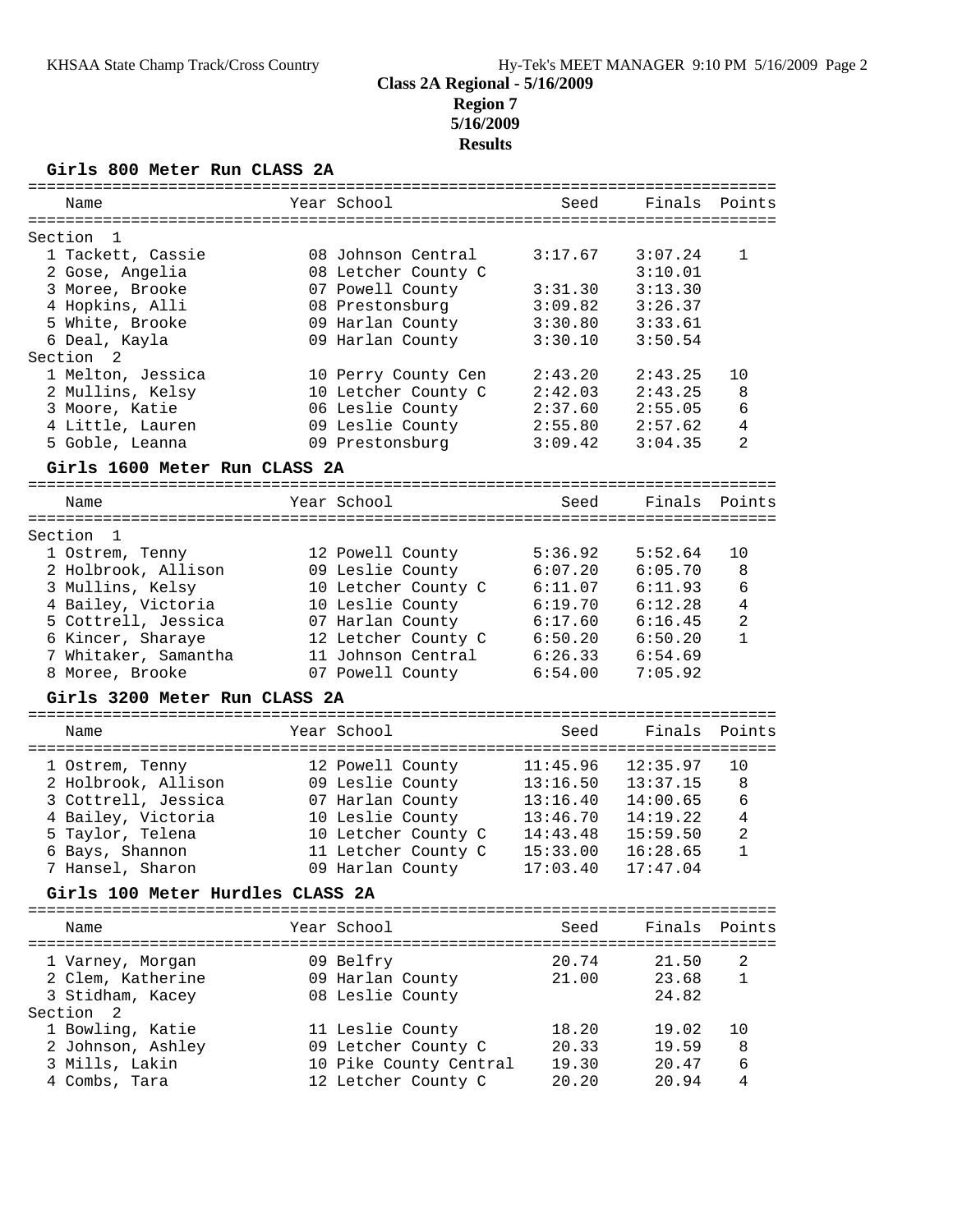## **Class 2A Regional - 5/16/2009 Region 7 5/16/2009 Results**

## **Girls 800 Meter Run CLASS 2A**

|                                  |                        |          | ================================== |                |
|----------------------------------|------------------------|----------|------------------------------------|----------------|
| Name                             | Year School            | Seed     | Finals                             | Points         |
|                                  |                        |          |                                    |                |
| Section<br>-1                    |                        |          |                                    |                |
| 1 Tackett, Cassie                | 08 Johnson Central     | 3:17.67  | 3:07.24                            | 1              |
| 2 Gose, Angelia                  | 08 Letcher County C    |          | 3:10.01                            |                |
| 3 Moree, Brooke                  | 07 Powell County       | 3:31.30  | 3:13.30                            |                |
| 4 Hopkins, Alli                  | 08 Prestonsburg        | 3:09.82  | 3:26.37                            |                |
| 5 White, Brooke                  | 09 Harlan County       | 3:30.80  | 3:33.61                            |                |
| 6 Deal, Kayla                    | 09 Harlan County       | 3:30.10  | 3:50.54                            |                |
| Section<br>2                     |                        |          |                                    |                |
| 1 Melton, Jessica                | 10 Perry County Cen    | 2:43.20  | 2:43.25                            | 10             |
| 2 Mullins, Kelsy                 | 10 Letcher County C    | 2:42.03  | 2:43.25                            | 8              |
| 3 Moore, Katie                   | 06 Leslie County       | 2:37.60  | 2:55.05                            | 6              |
| 4 Little, Lauren                 | 09 Leslie County       | 2:55.80  | 2:57.62                            | 4              |
| 5 Goble, Leanna                  | 09 Prestonsburg        | 3:09.42  | 3:04.35                            | 2              |
| Girls 1600 Meter Run CLASS 2A    |                        |          |                                    |                |
|                                  |                        |          |                                    |                |
| Name                             | Year School            | Seed     | Finals                             | Points         |
|                                  |                        |          |                                    |                |
| Section<br>-1                    |                        |          |                                    |                |
| 1 Ostrem, Tenny                  | 12 Powell County       | 5:36.92  | 5:52.64                            | 10             |
| 2 Holbrook, Allison              | 09 Leslie County       | 6:07.20  | 6:05.70                            | 8              |
| 3 Mullins, Kelsy                 | 10 Letcher County C    | 6:11.07  | 6:11.93                            | 6              |
| 4 Bailey, Victoria               | 10 Leslie County       | 6:19.70  | 6:12.28                            | 4              |
| 5 Cottrell, Jessica              | 07 Harlan County       | 6:17.60  | 6:16.45                            | 2              |
| 6 Kincer, Sharaye                | 12 Letcher County C    | 6:50.20  | 6:50.20                            | $\mathbf{1}$   |
| 7 Whitaker, Samantha             | 11 Johnson Central     | 6:26.33  | 6:54.69                            |                |
| 8 Moree, Brooke                  | 07 Powell County       | 6:54.00  | 7:05.92                            |                |
|                                  |                        |          |                                    |                |
|                                  |                        |          |                                    |                |
| Girls 3200 Meter Run CLASS 2A    |                        |          |                                    |                |
| Name                             | Year School            | Seed     | Finals                             | Points         |
|                                  |                        |          |                                    |                |
| 1 Ostrem, Tenny                  | 12 Powell County       | 11:45.96 | 12:35.97                           | 10             |
| 2 Holbrook, Allison              | 09 Leslie County       | 13:16.50 | 13:37.15                           | 8              |
| 3 Cottrell, Jessica              | 07 Harlan County       | 13:16.40 | 14:00.65                           | 6              |
| 4 Bailey, Victoria               | 10 Leslie County       | 13:46.70 | 14:19.22                           | $\overline{4}$ |
| 5 Taylor, Telena                 | 10 Letcher County C    | 14:43.48 | 15:59.50                           | $\overline{2}$ |
| 6 Bays, Shannon                  | 11 Letcher County C    | 15:33.00 | 16:28.65                           | $\mathbf{1}$   |
| 7 Hansel, Sharon                 | 09 Harlan County       | 17:03.40 | 17:47.04                           |                |
| Girls 100 Meter Hurdles CLASS 2A |                        |          |                                    |                |
| Name                             | Year School            | Seed     |                                    | Finals Points  |
|                                  |                        |          |                                    |                |
| 1 Varney, Morgan                 | 09 Belfry              | 20.74    | 21.50                              | 2              |
| 2 Clem, Katherine                | 09 Harlan County       | 21.00    | 23.68                              | 1              |
| 3 Stidham, Kacey                 | 08 Leslie County       |          | 24.82                              |                |
| Section<br>- 2                   |                        |          |                                    |                |
| 1 Bowling, Katie                 | 11 Leslie County       | 18.20    | 19.02                              | 10             |
| 2 Johnson, Ashley                | 09 Letcher County C    | 20.33    | 19.59                              | 8              |
| 3 Mills, Lakin                   | 10 Pike County Central | 19.30    | 20.47                              | 6              |
| 4 Combs, Tara                    | 12 Letcher County C    | 20.20    | 20.94                              | 4              |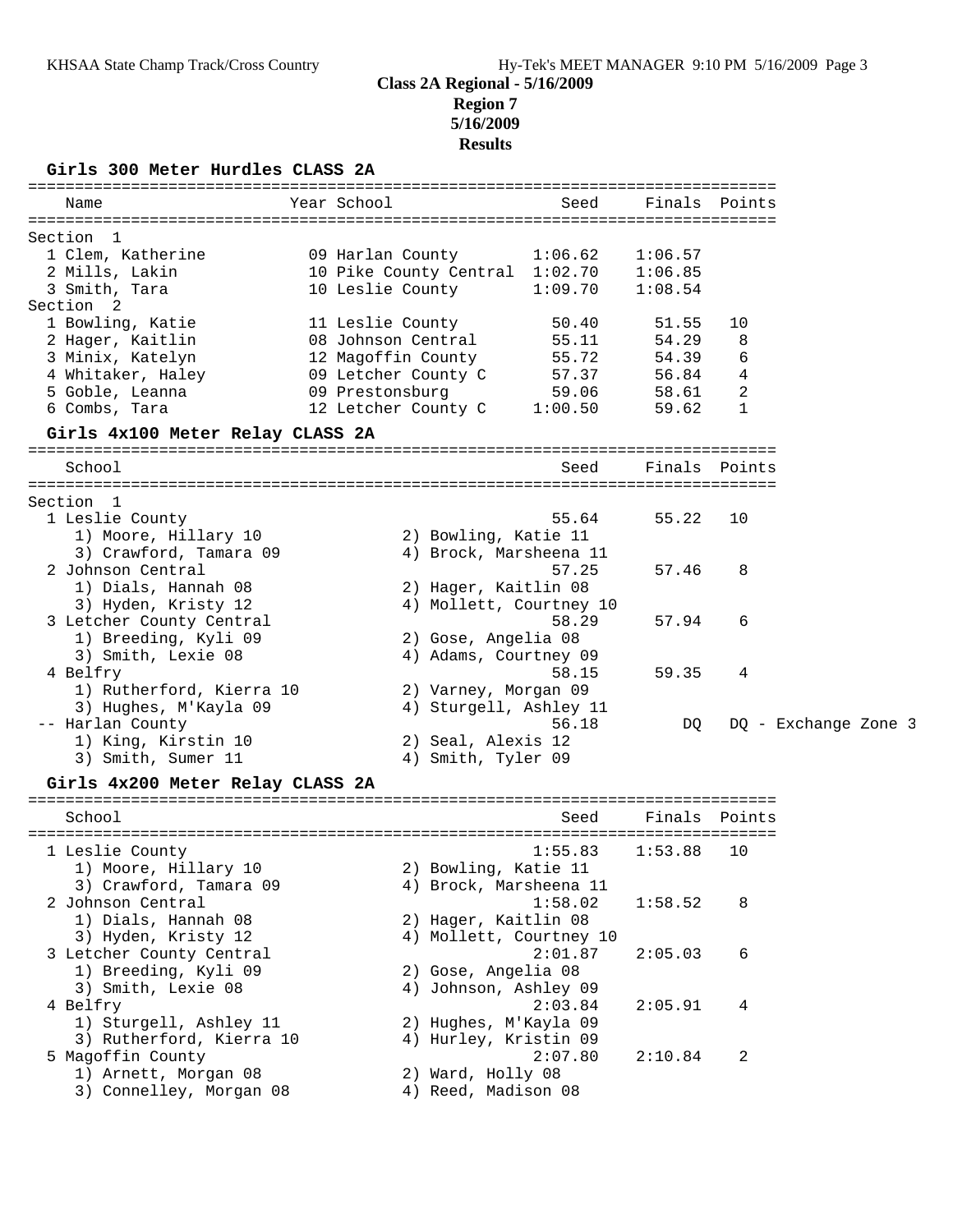## **Class 2A Regional - 5/16/2009 Region 7 5/16/2009 Results**

**Girls 300 Meter Hurdles CLASS 2A**

| Year School<br>Finals Points<br>Name<br>Seed<br>Section 1<br>1 Clem, Katherine<br>09 Harlan County<br>1:06.62<br>1:06.57<br>2 Mills, Lakin<br>10 Pike County Central 1:02.70<br>1:06.85<br>3 Smith, Tara<br>10 Leslie County<br>1:09.70<br>1:08.54<br>Section 2<br>1 Bowling, Katie<br>11 Leslie County<br>50.40<br>51.55<br>10<br>08 Johnson Central<br>2 Hager, Kaitlin<br>8<br>55.11<br>54.29<br>3 Minix, Katelyn<br>12 Magoffin County<br>55.72<br>54.39<br>6<br>$\overline{4}$<br>4 Whitaker, Haley<br>09 Letcher County C<br>57.37<br>56.84<br>59.06<br>2<br>5 Goble, Leanna<br>09 Prestonsburg<br>58.61<br>12 Letcher County C 1:00.50<br>6 Combs, Tara<br>1<br>59.62<br>Girls 4x100 Meter Relay CLASS 2A<br>School<br>Finals Points<br>Seed<br>Section 1<br>1 Leslie County<br>55.64<br>55.22<br>10<br>1) Moore, Hillary 10<br>2) Bowling, Katie 11<br>3) Crawford, Tamara 09<br>4) Brock, Marsheena 11<br>2 Johnson Central<br>57.25<br>57.46<br>8<br>1) Dials, Hannah 08<br>2) Hager, Kaitlin 08<br>3) Hyden, Kristy 12<br>4) Mollett, Courtney 10<br>3 Letcher County Central<br>58.29<br>57.94<br>6<br>1) Breeding, Kyli 09<br>2) Gose, Angelia 08<br>3) Smith, Lexie 08<br>4) Adams, Courtney 09<br>4 Belfry<br>58.15<br>59.35<br>4<br>1) Rutherford, Kierra 10<br>2) Varney, Morgan 09<br>3) Hughes, M'Kayla 09<br>4) Sturgell, Ashley 11<br>-- Harlan County<br>56.18<br>DQ - Exchange Zone 3<br>DQ.<br>1) King, Kirstin 10<br>2) Seal, Alexis 12<br>4) Smith, Tyler 09<br>3) Smith, Sumer 11<br>Girls 4x200 Meter Relay CLASS 2A<br>School<br>Finals<br>Seed<br>Points<br>1 Leslie County<br>1:55.83<br>1:53.88<br>10<br>1) Moore, Hillary 10<br>2) Bowling, Katie 11<br>3) Crawford, Tamara 09<br>4) Brock, Marsheena 11<br>2 Johnson Central<br>1:58.02<br>8<br>1:58.52<br>1) Dials, Hannah 08<br>2) Hager, Kaitlin 08<br>3) Hyden, Kristy 12<br>4) Mollett, Courtney 10<br>2:01.87<br>3 Letcher County Central<br>2:05.03<br>6<br>1) Breeding, Kyli 09<br>2) Gose, Angelia 08<br>3) Smith, Lexie 08<br>4) Johnson, Ashley 09<br>4 Belfry<br>2:03.84<br>2:05.91<br>4<br>1) Sturgell, Ashley 11<br>2) Hughes, M'Kayla 09<br>3) Rutherford, Kierra 10<br>4) Hurley, Kristin 09<br>5 Magoffin County<br>2:07.80<br>2<br>2:10.84<br>1) Arnett, Morgan 08<br>2) Ward, Holly 08<br>4) Reed, Madison 08 |                         |  |  |  |
|--------------------------------------------------------------------------------------------------------------------------------------------------------------------------------------------------------------------------------------------------------------------------------------------------------------------------------------------------------------------------------------------------------------------------------------------------------------------------------------------------------------------------------------------------------------------------------------------------------------------------------------------------------------------------------------------------------------------------------------------------------------------------------------------------------------------------------------------------------------------------------------------------------------------------------------------------------------------------------------------------------------------------------------------------------------------------------------------------------------------------------------------------------------------------------------------------------------------------------------------------------------------------------------------------------------------------------------------------------------------------------------------------------------------------------------------------------------------------------------------------------------------------------------------------------------------------------------------------------------------------------------------------------------------------------------------------------------------------------------------------------------------------------------------------------------------------------------------------------------------------------------------------------------------------------------------------------------------------------------------------------------------------------------------------------------------------------------------------------------------------------------------------------------------------------------------------------------------------------------------------------------------------------------------------------------------|-------------------------|--|--|--|
|                                                                                                                                                                                                                                                                                                                                                                                                                                                                                                                                                                                                                                                                                                                                                                                                                                                                                                                                                                                                                                                                                                                                                                                                                                                                                                                                                                                                                                                                                                                                                                                                                                                                                                                                                                                                                                                                                                                                                                                                                                                                                                                                                                                                                                                                                                                    |                         |  |  |  |
|                                                                                                                                                                                                                                                                                                                                                                                                                                                                                                                                                                                                                                                                                                                                                                                                                                                                                                                                                                                                                                                                                                                                                                                                                                                                                                                                                                                                                                                                                                                                                                                                                                                                                                                                                                                                                                                                                                                                                                                                                                                                                                                                                                                                                                                                                                                    |                         |  |  |  |
|                                                                                                                                                                                                                                                                                                                                                                                                                                                                                                                                                                                                                                                                                                                                                                                                                                                                                                                                                                                                                                                                                                                                                                                                                                                                                                                                                                                                                                                                                                                                                                                                                                                                                                                                                                                                                                                                                                                                                                                                                                                                                                                                                                                                                                                                                                                    |                         |  |  |  |
|                                                                                                                                                                                                                                                                                                                                                                                                                                                                                                                                                                                                                                                                                                                                                                                                                                                                                                                                                                                                                                                                                                                                                                                                                                                                                                                                                                                                                                                                                                                                                                                                                                                                                                                                                                                                                                                                                                                                                                                                                                                                                                                                                                                                                                                                                                                    |                         |  |  |  |
|                                                                                                                                                                                                                                                                                                                                                                                                                                                                                                                                                                                                                                                                                                                                                                                                                                                                                                                                                                                                                                                                                                                                                                                                                                                                                                                                                                                                                                                                                                                                                                                                                                                                                                                                                                                                                                                                                                                                                                                                                                                                                                                                                                                                                                                                                                                    |                         |  |  |  |
|                                                                                                                                                                                                                                                                                                                                                                                                                                                                                                                                                                                                                                                                                                                                                                                                                                                                                                                                                                                                                                                                                                                                                                                                                                                                                                                                                                                                                                                                                                                                                                                                                                                                                                                                                                                                                                                                                                                                                                                                                                                                                                                                                                                                                                                                                                                    |                         |  |  |  |
|                                                                                                                                                                                                                                                                                                                                                                                                                                                                                                                                                                                                                                                                                                                                                                                                                                                                                                                                                                                                                                                                                                                                                                                                                                                                                                                                                                                                                                                                                                                                                                                                                                                                                                                                                                                                                                                                                                                                                                                                                                                                                                                                                                                                                                                                                                                    |                         |  |  |  |
|                                                                                                                                                                                                                                                                                                                                                                                                                                                                                                                                                                                                                                                                                                                                                                                                                                                                                                                                                                                                                                                                                                                                                                                                                                                                                                                                                                                                                                                                                                                                                                                                                                                                                                                                                                                                                                                                                                                                                                                                                                                                                                                                                                                                                                                                                                                    |                         |  |  |  |
|                                                                                                                                                                                                                                                                                                                                                                                                                                                                                                                                                                                                                                                                                                                                                                                                                                                                                                                                                                                                                                                                                                                                                                                                                                                                                                                                                                                                                                                                                                                                                                                                                                                                                                                                                                                                                                                                                                                                                                                                                                                                                                                                                                                                                                                                                                                    |                         |  |  |  |
|                                                                                                                                                                                                                                                                                                                                                                                                                                                                                                                                                                                                                                                                                                                                                                                                                                                                                                                                                                                                                                                                                                                                                                                                                                                                                                                                                                                                                                                                                                                                                                                                                                                                                                                                                                                                                                                                                                                                                                                                                                                                                                                                                                                                                                                                                                                    |                         |  |  |  |
|                                                                                                                                                                                                                                                                                                                                                                                                                                                                                                                                                                                                                                                                                                                                                                                                                                                                                                                                                                                                                                                                                                                                                                                                                                                                                                                                                                                                                                                                                                                                                                                                                                                                                                                                                                                                                                                                                                                                                                                                                                                                                                                                                                                                                                                                                                                    |                         |  |  |  |
|                                                                                                                                                                                                                                                                                                                                                                                                                                                                                                                                                                                                                                                                                                                                                                                                                                                                                                                                                                                                                                                                                                                                                                                                                                                                                                                                                                                                                                                                                                                                                                                                                                                                                                                                                                                                                                                                                                                                                                                                                                                                                                                                                                                                                                                                                                                    |                         |  |  |  |
|                                                                                                                                                                                                                                                                                                                                                                                                                                                                                                                                                                                                                                                                                                                                                                                                                                                                                                                                                                                                                                                                                                                                                                                                                                                                                                                                                                                                                                                                                                                                                                                                                                                                                                                                                                                                                                                                                                                                                                                                                                                                                                                                                                                                                                                                                                                    |                         |  |  |  |
|                                                                                                                                                                                                                                                                                                                                                                                                                                                                                                                                                                                                                                                                                                                                                                                                                                                                                                                                                                                                                                                                                                                                                                                                                                                                                                                                                                                                                                                                                                                                                                                                                                                                                                                                                                                                                                                                                                                                                                                                                                                                                                                                                                                                                                                                                                                    |                         |  |  |  |
|                                                                                                                                                                                                                                                                                                                                                                                                                                                                                                                                                                                                                                                                                                                                                                                                                                                                                                                                                                                                                                                                                                                                                                                                                                                                                                                                                                                                                                                                                                                                                                                                                                                                                                                                                                                                                                                                                                                                                                                                                                                                                                                                                                                                                                                                                                                    |                         |  |  |  |
|                                                                                                                                                                                                                                                                                                                                                                                                                                                                                                                                                                                                                                                                                                                                                                                                                                                                                                                                                                                                                                                                                                                                                                                                                                                                                                                                                                                                                                                                                                                                                                                                                                                                                                                                                                                                                                                                                                                                                                                                                                                                                                                                                                                                                                                                                                                    |                         |  |  |  |
|                                                                                                                                                                                                                                                                                                                                                                                                                                                                                                                                                                                                                                                                                                                                                                                                                                                                                                                                                                                                                                                                                                                                                                                                                                                                                                                                                                                                                                                                                                                                                                                                                                                                                                                                                                                                                                                                                                                                                                                                                                                                                                                                                                                                                                                                                                                    |                         |  |  |  |
|                                                                                                                                                                                                                                                                                                                                                                                                                                                                                                                                                                                                                                                                                                                                                                                                                                                                                                                                                                                                                                                                                                                                                                                                                                                                                                                                                                                                                                                                                                                                                                                                                                                                                                                                                                                                                                                                                                                                                                                                                                                                                                                                                                                                                                                                                                                    |                         |  |  |  |
|                                                                                                                                                                                                                                                                                                                                                                                                                                                                                                                                                                                                                                                                                                                                                                                                                                                                                                                                                                                                                                                                                                                                                                                                                                                                                                                                                                                                                                                                                                                                                                                                                                                                                                                                                                                                                                                                                                                                                                                                                                                                                                                                                                                                                                                                                                                    |                         |  |  |  |
|                                                                                                                                                                                                                                                                                                                                                                                                                                                                                                                                                                                                                                                                                                                                                                                                                                                                                                                                                                                                                                                                                                                                                                                                                                                                                                                                                                                                                                                                                                                                                                                                                                                                                                                                                                                                                                                                                                                                                                                                                                                                                                                                                                                                                                                                                                                    |                         |  |  |  |
|                                                                                                                                                                                                                                                                                                                                                                                                                                                                                                                                                                                                                                                                                                                                                                                                                                                                                                                                                                                                                                                                                                                                                                                                                                                                                                                                                                                                                                                                                                                                                                                                                                                                                                                                                                                                                                                                                                                                                                                                                                                                                                                                                                                                                                                                                                                    |                         |  |  |  |
|                                                                                                                                                                                                                                                                                                                                                                                                                                                                                                                                                                                                                                                                                                                                                                                                                                                                                                                                                                                                                                                                                                                                                                                                                                                                                                                                                                                                                                                                                                                                                                                                                                                                                                                                                                                                                                                                                                                                                                                                                                                                                                                                                                                                                                                                                                                    |                         |  |  |  |
|                                                                                                                                                                                                                                                                                                                                                                                                                                                                                                                                                                                                                                                                                                                                                                                                                                                                                                                                                                                                                                                                                                                                                                                                                                                                                                                                                                                                                                                                                                                                                                                                                                                                                                                                                                                                                                                                                                                                                                                                                                                                                                                                                                                                                                                                                                                    |                         |  |  |  |
|                                                                                                                                                                                                                                                                                                                                                                                                                                                                                                                                                                                                                                                                                                                                                                                                                                                                                                                                                                                                                                                                                                                                                                                                                                                                                                                                                                                                                                                                                                                                                                                                                                                                                                                                                                                                                                                                                                                                                                                                                                                                                                                                                                                                                                                                                                                    |                         |  |  |  |
|                                                                                                                                                                                                                                                                                                                                                                                                                                                                                                                                                                                                                                                                                                                                                                                                                                                                                                                                                                                                                                                                                                                                                                                                                                                                                                                                                                                                                                                                                                                                                                                                                                                                                                                                                                                                                                                                                                                                                                                                                                                                                                                                                                                                                                                                                                                    |                         |  |  |  |
|                                                                                                                                                                                                                                                                                                                                                                                                                                                                                                                                                                                                                                                                                                                                                                                                                                                                                                                                                                                                                                                                                                                                                                                                                                                                                                                                                                                                                                                                                                                                                                                                                                                                                                                                                                                                                                                                                                                                                                                                                                                                                                                                                                                                                                                                                                                    |                         |  |  |  |
|                                                                                                                                                                                                                                                                                                                                                                                                                                                                                                                                                                                                                                                                                                                                                                                                                                                                                                                                                                                                                                                                                                                                                                                                                                                                                                                                                                                                                                                                                                                                                                                                                                                                                                                                                                                                                                                                                                                                                                                                                                                                                                                                                                                                                                                                                                                    |                         |  |  |  |
|                                                                                                                                                                                                                                                                                                                                                                                                                                                                                                                                                                                                                                                                                                                                                                                                                                                                                                                                                                                                                                                                                                                                                                                                                                                                                                                                                                                                                                                                                                                                                                                                                                                                                                                                                                                                                                                                                                                                                                                                                                                                                                                                                                                                                                                                                                                    |                         |  |  |  |
|                                                                                                                                                                                                                                                                                                                                                                                                                                                                                                                                                                                                                                                                                                                                                                                                                                                                                                                                                                                                                                                                                                                                                                                                                                                                                                                                                                                                                                                                                                                                                                                                                                                                                                                                                                                                                                                                                                                                                                                                                                                                                                                                                                                                                                                                                                                    |                         |  |  |  |
|                                                                                                                                                                                                                                                                                                                                                                                                                                                                                                                                                                                                                                                                                                                                                                                                                                                                                                                                                                                                                                                                                                                                                                                                                                                                                                                                                                                                                                                                                                                                                                                                                                                                                                                                                                                                                                                                                                                                                                                                                                                                                                                                                                                                                                                                                                                    |                         |  |  |  |
|                                                                                                                                                                                                                                                                                                                                                                                                                                                                                                                                                                                                                                                                                                                                                                                                                                                                                                                                                                                                                                                                                                                                                                                                                                                                                                                                                                                                                                                                                                                                                                                                                                                                                                                                                                                                                                                                                                                                                                                                                                                                                                                                                                                                                                                                                                                    |                         |  |  |  |
|                                                                                                                                                                                                                                                                                                                                                                                                                                                                                                                                                                                                                                                                                                                                                                                                                                                                                                                                                                                                                                                                                                                                                                                                                                                                                                                                                                                                                                                                                                                                                                                                                                                                                                                                                                                                                                                                                                                                                                                                                                                                                                                                                                                                                                                                                                                    |                         |  |  |  |
|                                                                                                                                                                                                                                                                                                                                                                                                                                                                                                                                                                                                                                                                                                                                                                                                                                                                                                                                                                                                                                                                                                                                                                                                                                                                                                                                                                                                                                                                                                                                                                                                                                                                                                                                                                                                                                                                                                                                                                                                                                                                                                                                                                                                                                                                                                                    |                         |  |  |  |
|                                                                                                                                                                                                                                                                                                                                                                                                                                                                                                                                                                                                                                                                                                                                                                                                                                                                                                                                                                                                                                                                                                                                                                                                                                                                                                                                                                                                                                                                                                                                                                                                                                                                                                                                                                                                                                                                                                                                                                                                                                                                                                                                                                                                                                                                                                                    |                         |  |  |  |
|                                                                                                                                                                                                                                                                                                                                                                                                                                                                                                                                                                                                                                                                                                                                                                                                                                                                                                                                                                                                                                                                                                                                                                                                                                                                                                                                                                                                                                                                                                                                                                                                                                                                                                                                                                                                                                                                                                                                                                                                                                                                                                                                                                                                                                                                                                                    |                         |  |  |  |
|                                                                                                                                                                                                                                                                                                                                                                                                                                                                                                                                                                                                                                                                                                                                                                                                                                                                                                                                                                                                                                                                                                                                                                                                                                                                                                                                                                                                                                                                                                                                                                                                                                                                                                                                                                                                                                                                                                                                                                                                                                                                                                                                                                                                                                                                                                                    |                         |  |  |  |
|                                                                                                                                                                                                                                                                                                                                                                                                                                                                                                                                                                                                                                                                                                                                                                                                                                                                                                                                                                                                                                                                                                                                                                                                                                                                                                                                                                                                                                                                                                                                                                                                                                                                                                                                                                                                                                                                                                                                                                                                                                                                                                                                                                                                                                                                                                                    |                         |  |  |  |
|                                                                                                                                                                                                                                                                                                                                                                                                                                                                                                                                                                                                                                                                                                                                                                                                                                                                                                                                                                                                                                                                                                                                                                                                                                                                                                                                                                                                                                                                                                                                                                                                                                                                                                                                                                                                                                                                                                                                                                                                                                                                                                                                                                                                                                                                                                                    |                         |  |  |  |
|                                                                                                                                                                                                                                                                                                                                                                                                                                                                                                                                                                                                                                                                                                                                                                                                                                                                                                                                                                                                                                                                                                                                                                                                                                                                                                                                                                                                                                                                                                                                                                                                                                                                                                                                                                                                                                                                                                                                                                                                                                                                                                                                                                                                                                                                                                                    |                         |  |  |  |
|                                                                                                                                                                                                                                                                                                                                                                                                                                                                                                                                                                                                                                                                                                                                                                                                                                                                                                                                                                                                                                                                                                                                                                                                                                                                                                                                                                                                                                                                                                                                                                                                                                                                                                                                                                                                                                                                                                                                                                                                                                                                                                                                                                                                                                                                                                                    |                         |  |  |  |
|                                                                                                                                                                                                                                                                                                                                                                                                                                                                                                                                                                                                                                                                                                                                                                                                                                                                                                                                                                                                                                                                                                                                                                                                                                                                                                                                                                                                                                                                                                                                                                                                                                                                                                                                                                                                                                                                                                                                                                                                                                                                                                                                                                                                                                                                                                                    |                         |  |  |  |
|                                                                                                                                                                                                                                                                                                                                                                                                                                                                                                                                                                                                                                                                                                                                                                                                                                                                                                                                                                                                                                                                                                                                                                                                                                                                                                                                                                                                                                                                                                                                                                                                                                                                                                                                                                                                                                                                                                                                                                                                                                                                                                                                                                                                                                                                                                                    |                         |  |  |  |
|                                                                                                                                                                                                                                                                                                                                                                                                                                                                                                                                                                                                                                                                                                                                                                                                                                                                                                                                                                                                                                                                                                                                                                                                                                                                                                                                                                                                                                                                                                                                                                                                                                                                                                                                                                                                                                                                                                                                                                                                                                                                                                                                                                                                                                                                                                                    |                         |  |  |  |
|                                                                                                                                                                                                                                                                                                                                                                                                                                                                                                                                                                                                                                                                                                                                                                                                                                                                                                                                                                                                                                                                                                                                                                                                                                                                                                                                                                                                                                                                                                                                                                                                                                                                                                                                                                                                                                                                                                                                                                                                                                                                                                                                                                                                                                                                                                                    |                         |  |  |  |
|                                                                                                                                                                                                                                                                                                                                                                                                                                                                                                                                                                                                                                                                                                                                                                                                                                                                                                                                                                                                                                                                                                                                                                                                                                                                                                                                                                                                                                                                                                                                                                                                                                                                                                                                                                                                                                                                                                                                                                                                                                                                                                                                                                                                                                                                                                                    |                         |  |  |  |
|                                                                                                                                                                                                                                                                                                                                                                                                                                                                                                                                                                                                                                                                                                                                                                                                                                                                                                                                                                                                                                                                                                                                                                                                                                                                                                                                                                                                                                                                                                                                                                                                                                                                                                                                                                                                                                                                                                                                                                                                                                                                                                                                                                                                                                                                                                                    |                         |  |  |  |
|                                                                                                                                                                                                                                                                                                                                                                                                                                                                                                                                                                                                                                                                                                                                                                                                                                                                                                                                                                                                                                                                                                                                                                                                                                                                                                                                                                                                                                                                                                                                                                                                                                                                                                                                                                                                                                                                                                                                                                                                                                                                                                                                                                                                                                                                                                                    |                         |  |  |  |
|                                                                                                                                                                                                                                                                                                                                                                                                                                                                                                                                                                                                                                                                                                                                                                                                                                                                                                                                                                                                                                                                                                                                                                                                                                                                                                                                                                                                                                                                                                                                                                                                                                                                                                                                                                                                                                                                                                                                                                                                                                                                                                                                                                                                                                                                                                                    | 3) Connelley, Morgan 08 |  |  |  |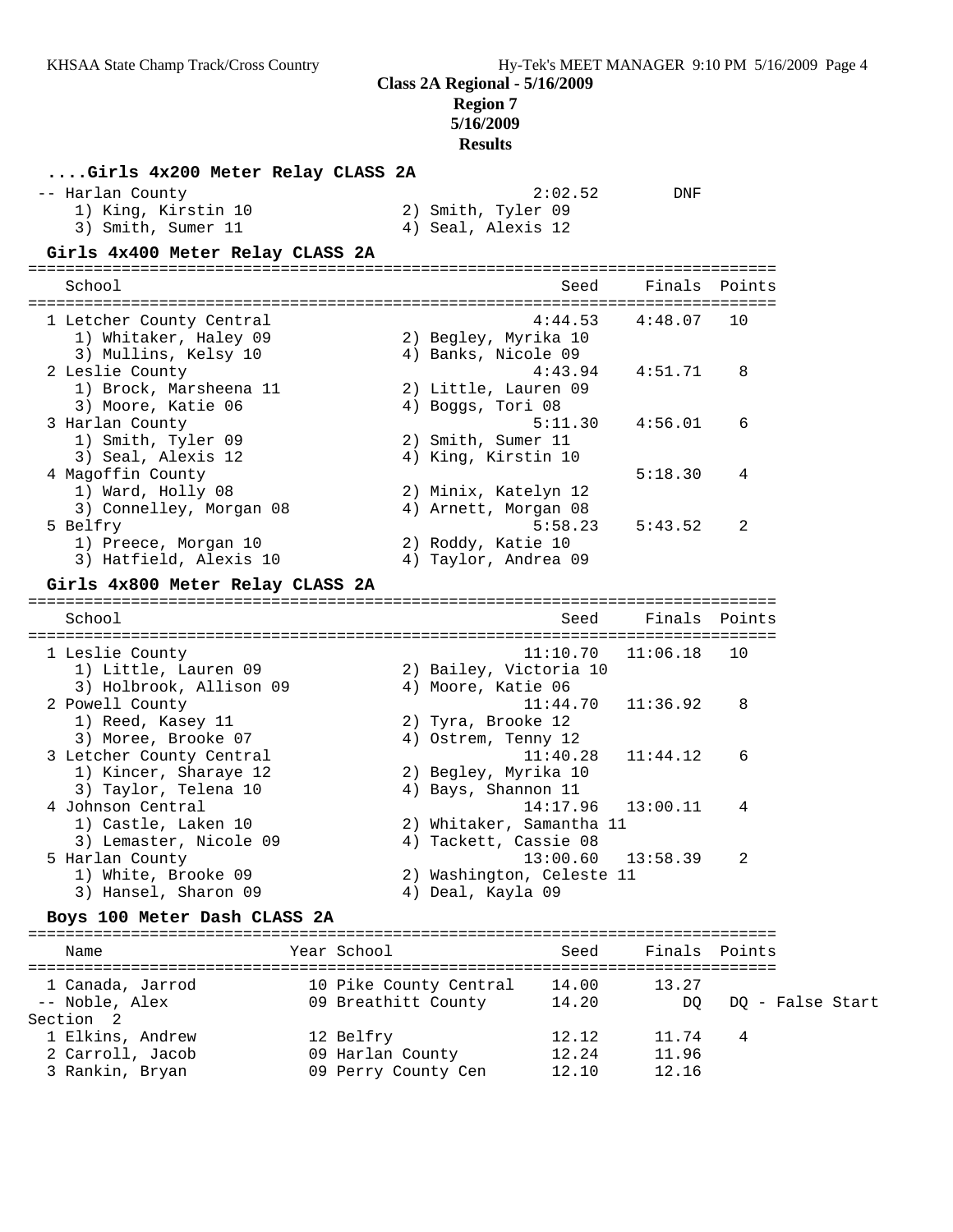# **Region 7**

**5/16/2009**

**Results**

| Girls 4x200 Meter Relay CLASS 2A                                                       |                                                                 |                                                    |                  |
|----------------------------------------------------------------------------------------|-----------------------------------------------------------------|----------------------------------------------------|------------------|
| -- Harlan County<br>1) King, Kirstin 10<br>3) Smith, Sumer 11                          | 2) Smith, Tyler 09<br>4) Seal, Alexis 12                        | 2:02.52<br>DNF                                     |                  |
| Girls 4x400 Meter Relay CLASS 2A                                                       |                                                                 |                                                    |                  |
| School                                                                                 |                                                                 | Seed<br>Finals                                     | Points           |
| 1 Letcher County Central<br>1) Whitaker, Haley 09<br>3) Mullins, Kelsy 10              | 2) Begley, Myrika 10<br>4) Banks, Nicole 09                     | 4:44.53<br>4:48.07                                 | 10               |
| 2 Leslie County<br>1) Brock, Marsheena 11<br>3) Moore, Katie 06                        | 2) Little, Lauren 09<br>4) Boggs, Tori 08                       | 4:43.94<br>4:51.71                                 | 8                |
| 3 Harlan County<br>1) Smith, Tyler 09<br>3) Seal, Alexis 12                            | 2) Smith, Sumer 11<br>4) King, Kirstin 10                       | 5:11.30<br>4:56.01                                 | 6                |
| 4 Magoffin County<br>1) Ward, Holly 08<br>3) Connelley, Morgan 08                      | 2) Minix, Katelyn 12<br>4) Arnett, Morgan 08                    | 5:18.30                                            | 4                |
| 5 Belfry<br>1) Preece, Morgan 10<br>3) Hatfield, Alexis 10                             | 2) Roddy, Katie 10<br>4) Taylor, Andrea 09                      | 5:58.23<br>5:43.52                                 | 2                |
| Girls 4x800 Meter Relay CLASS 2A                                                       |                                                                 |                                                    |                  |
| School                                                                                 |                                                                 | Seed                                               | Finals Points    |
| 1 Leslie County<br>1) Little, Lauren 09                                                | 2) Bailey, Victoria 10                                          | 11:10.70<br>11:06.18                               | 10               |
| 3) Holbrook, Allison 09<br>2 Powell County<br>1) Reed, Kasey 11<br>3) Moree, Brooke 07 | 4) Moore, Katie 06<br>2) Tyra, Brooke 12<br>4) Ostrem, Tenny 12 | 11:44.70<br>11:36.92                               | 8                |
| 3 Letcher County Central<br>1) Kincer, Sharaye 12<br>3) Taylor, Telena 10              | 2) Begley, Myrika 10<br>4) Bays, Shannon 11                     | 11:40.28<br>11:44.12                               | 6                |
| 4 Johnson Central<br>1) Castle, Laken 10<br>3) Lemaster, Nicole 09                     | 2) Whitaker, Samantha 11<br>4) Tackett, Cassie 08               | 14:17.96<br>13:00.11                               | 4                |
| 5 Harlan County<br>1) White, Brooke 09<br>3) Hansel, Sharon 09                         | 2) Washington, Celeste 11<br>4) Deal, Kayla 09                  | $13:00.60$ $13:58.39$                              | $\mathcal{L}$    |
| Boys 100 Meter Dash CLASS 2A                                                           |                                                                 |                                                    |                  |
| Name                                                                                   | Year School                                                     | Seed                                               | Finals Points    |
| 1 Canada, Jarrod<br>-- Noble, Alex                                                     | 10 Pike County Central<br>09 Breathitt County                   | 14.00<br>13.27<br>14.20<br>DQ                      | DQ - False Start |
| Section 2<br>1 Elkins, Andrew<br>2 Carroll, Jacob<br>3 Rankin, Bryan                   | 12 Belfry<br>09 Harlan County<br>09 Perry County Cen            | 12.12<br>11.74<br>12.24<br>11.96<br>12.10<br>12.16 | 4                |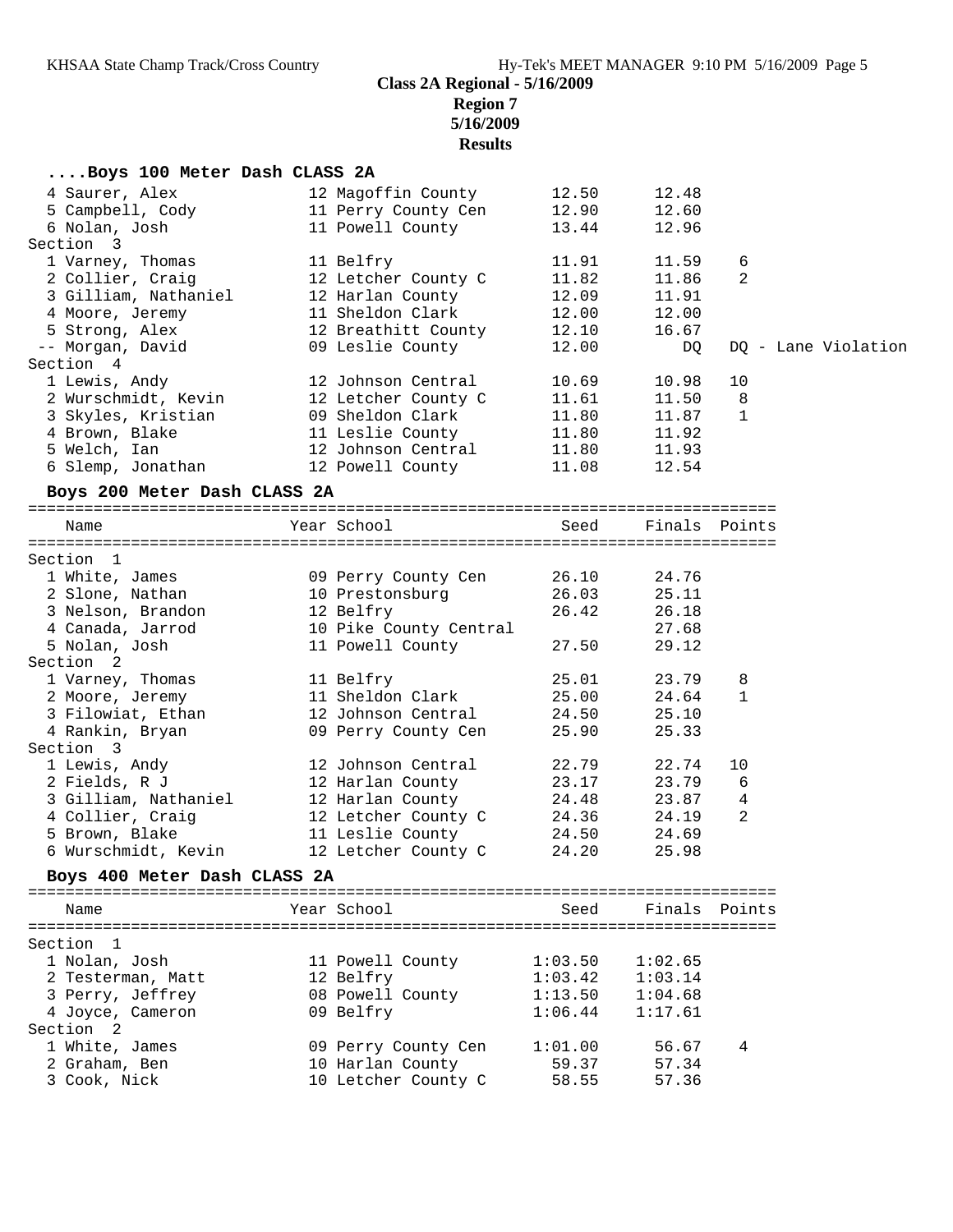**Region 7**

**5/16/2009**

## **Results**

| Boys 100 Meter Dash CLASS 2A |                        |         |         |                |                     |
|------------------------------|------------------------|---------|---------|----------------|---------------------|
| 4 Saurer, Alex               | 12 Magoffin County     | 12.50   | 12.48   |                |                     |
| 5 Campbell, Cody             | 11 Perry County Cen    | 12.90   | 12.60   |                |                     |
| 6 Nolan, Josh                | 11 Powell County       | 13.44   | 12.96   |                |                     |
| Section 3                    |                        |         |         |                |                     |
| 1 Varney, Thomas             | 11 Belfry              | 11.91   | 11.59   | 6              |                     |
| 2 Collier, Craig             | 12 Letcher County C    | 11.82   | 11.86   | 2              |                     |
| 3 Gilliam, Nathaniel         | 12 Harlan County       | 12.09   | 11.91   |                |                     |
| 4 Moore, Jeremy              | 11 Sheldon Clark       | 12.00   | 12.00   |                |                     |
| 5 Strong, Alex               | 12 Breathitt County    | 12.10   | 16.67   |                |                     |
| -- Morgan, David             | 09 Leslie County       | 12.00   | DQ      |                | DQ - Lane Violation |
| Section 4                    |                        |         |         |                |                     |
| 1 Lewis, Andy                | 12 Johnson Central     | 10.69   | 10.98   | 10             |                     |
| 2 Wurschmidt, Kevin          | 12 Letcher County C    | 11.61   | 11.50   | 8              |                     |
| 3 Skyles, Kristian           | 09 Sheldon Clark       | 11.80   | 11.87   | 1              |                     |
| 4 Brown, Blake               | 11 Leslie County       | 11.80   | 11.92   |                |                     |
| 5 Welch, Ian                 | 12 Johnson Central     | 11.80   | 11.93   |                |                     |
| 6 Slemp, Jonathan            | 12 Powell County       | 11.08   | 12.54   |                |                     |
| Boys 200 Meter Dash CLASS 2A |                        |         |         |                |                     |
|                              |                        |         |         |                |                     |
| Name                         | Year School            | Seed    |         | Finals Points  |                     |
| Section 1                    |                        |         |         |                |                     |
| 1 White, James               | 09 Perry County Cen    | 26.10   | 24.76   |                |                     |
| 2 Slone, Nathan              | 10 Prestonsburg        | 26.03   | 25.11   |                |                     |
| 3 Nelson, Brandon            | 12 Belfry              | 26.42   | 26.18   |                |                     |
| 4 Canada, Jarrod             | 10 Pike County Central |         | 27.68   |                |                     |
| 5 Nolan, Josh                | 11 Powell County       | 27.50   | 29.12   |                |                     |
| Section 2                    |                        |         |         |                |                     |
| 1 Varney, Thomas             | 11 Belfry              | 25.01   | 23.79   | 8              |                     |
| 2 Moore, Jeremy              | 11 Sheldon Clark       | 25.00   | 24.64   | 1              |                     |
| 3 Filowiat, Ethan            | 12 Johnson Central     | 24.50   | 25.10   |                |                     |
| 4 Rankin, Bryan              | 09 Perry County Cen    | 25.90   | 25.33   |                |                     |
| Section 3                    |                        |         |         |                |                     |
| 1 Lewis, Andy                | 12 Johnson Central     | 22.79   | 22.74   | 10             |                     |
| 2 Fields, R J                | 12 Harlan County       | 23.17   | 23.79   | - 6            |                     |
| 3 Gilliam, Nathaniel         | 12 Harlan County       | 24.48   | 23.87   | $\overline{4}$ |                     |
| 4 Collier, Craig             | 12 Letcher County C    | 24.36   | 24.19   | 2              |                     |
| 5 Brown, Blake               | 11 Leslie County       | 24.50   | 24.69   |                |                     |
| 6 Wurschmidt, Kevin          | 12 Letcher County C    | 24.20   | 25.98   |                |                     |
| Boys 400 Meter Dash CLASS 2A |                        |         |         |                |                     |
|                              |                        |         |         |                |                     |
| Name                         | Year School            | Seed    |         | Finals Points  |                     |
| Section 1                    |                        |         |         |                |                     |
| 1 Nolan, Josh                | 11 Powell County       | 1:03.50 | 1:02.65 |                |                     |
| 2 Testerman, Matt            | 12 Belfry              | 1:03.42 | 1:03.14 |                |                     |
| 3 Perry, Jeffrey             | 08 Powell County       | 1:13.50 | 1:04.68 |                |                     |
| 4 Joyce, Cameron             | 09 Belfry              | 1:06.44 | 1:17.61 |                |                     |
| Section 2                    |                        |         |         |                |                     |
| 1 White, James               | 09 Perry County Cen    | 1:01.00 | 56.67   | 4              |                     |
| 2 Graham, Ben                | 10 Harlan County       | 59.37   | 57.34   |                |                     |
| 3 Cook, Nick                 | 10 Letcher County C    | 58.55   | 57.36   |                |                     |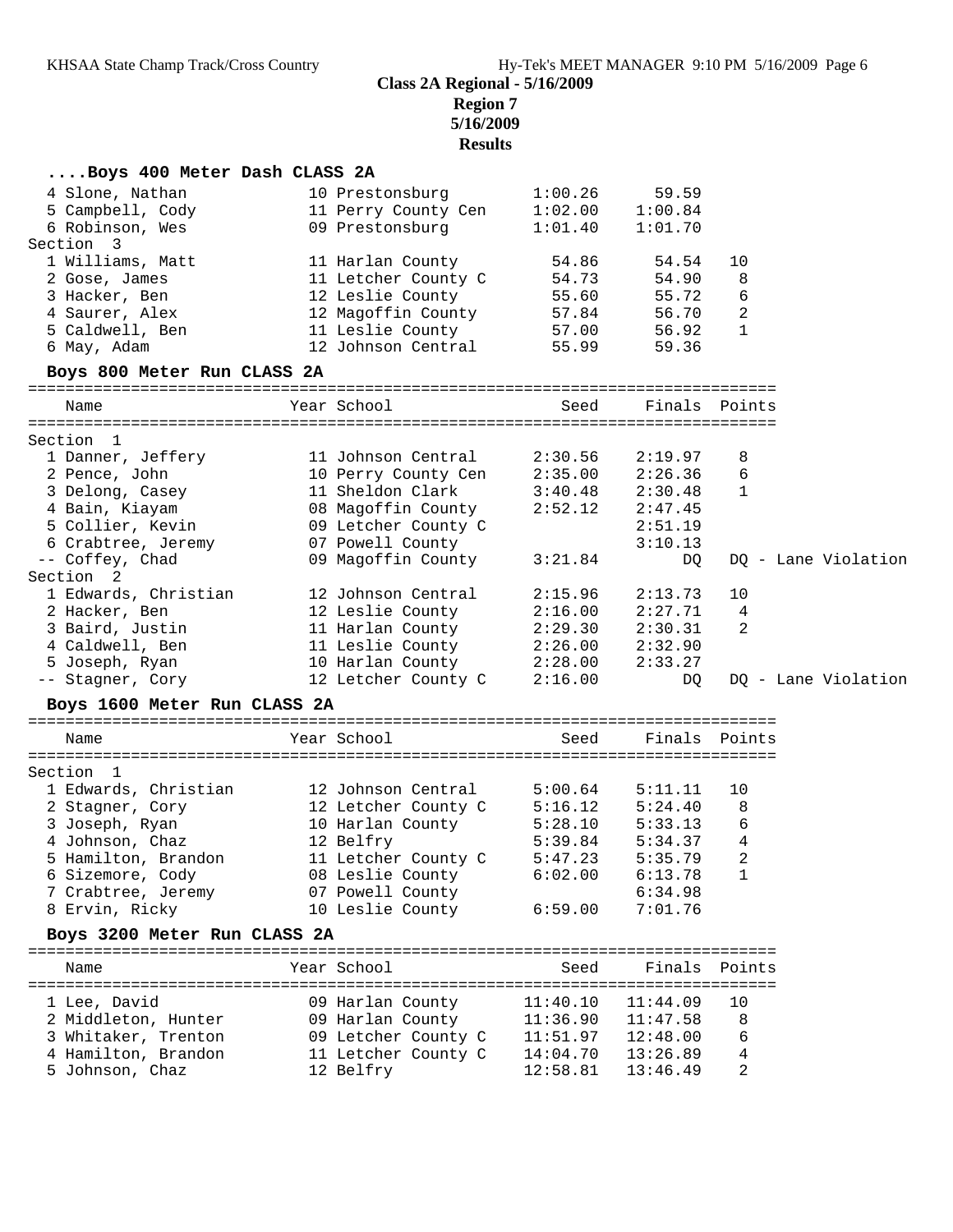**Region 7 5/16/2009**

**Results**

| Boys 400 Meter Dash CLASS 2A |                             |                       |          |                          |                     |
|------------------------------|-----------------------------|-----------------------|----------|--------------------------|---------------------|
| 4 Slone, Nathan              | 10 Prestonsburg             | 1:00.26               | 59.59    |                          |                     |
| 5 Campbell, Cody             | 11 Perry County Cen         | 1:02.00               | 1:00.84  |                          |                     |
| 6 Robinson, Wes              | 09 Prestonsburg             | 1:01.40               | 1:01.70  |                          |                     |
| Section 3                    |                             |                       |          |                          |                     |
| 1 Williams, Matt             | 11 Harlan County            | 54.86                 | 54.54    | 10                       |                     |
| 2 Gose, James                | 11 Letcher County C         | 54.73                 | 54.90    | 8                        |                     |
| 3 Hacker, Ben                | 12 Leslie County            | 55.60                 | 55.72    | 6                        |                     |
| 4 Saurer, Alex               | 12 Magoffin County          | 57.84                 | 56.70    | $\overline{c}$           |                     |
| 5 Caldwell, Ben              | 11 Leslie County            | 57.00                 | 56.92    | $\overline{\phantom{a}}$ |                     |
| 6 May, Adam                  | 12 Johnson Central          | 55.99                 | 59.36    |                          |                     |
| Boys 800 Meter Run CLASS 2A  |                             |                       |          |                          |                     |
| Name                         | Year School                 | Seed                  |          | Finals Points            |                     |
|                              |                             |                       |          |                          |                     |
| Section 1                    |                             |                       |          |                          |                     |
| 1 Danner, Jeffery            | 11 Johnson Central          | 2:30.56               | 2:19.97  | 8                        |                     |
| 2 Pence, John                | 10 Perry County Cen         | 2:35.00               | 2:26.36  | 6                        |                     |
| 3 Delong, Casey              | 11 Sheldon Clark            | 3:40.48               | 2:30.48  | 1                        |                     |
| 4 Bain, Kiayam               | 08 Magoffin County          | 2:52.12               | 2:47.45  |                          |                     |
| 5 Collier, Kevin             | 09 Letcher County C         |                       | 2:51.19  |                          |                     |
| 6 Crabtree, Jeremy           | 07 Powell County            |                       | 3:10.13  |                          |                     |
| -- Coffey, Chad              | 09 Magoffin County          | 3:21.84               | DQ       |                          | DQ - Lane Violation |
| Section 2                    |                             |                       |          |                          |                     |
| 1 Edwards, Christian         | 12 Johnson Central          | 2:15.96               | 2:13.73  | 10                       |                     |
| 2 Hacker, Ben                | 12 Leslie County            | 2:16.00               | 2:27.71  | $\overline{4}$           |                     |
| 3 Baird, Justin              | 11 Harlan County            | 2:29.30               | 2:30.31  | 2                        |                     |
| 4 Caldwell, Ben              | 11 Leslie County 2:26.00    |                       | 2:32.90  |                          |                     |
| 5 Joseph, Ryan               | 10 Harlan County 2:28.00    |                       | 2:33.27  |                          |                     |
| -- Stagner, Cory             | 12 Letcher County C 2:16.00 |                       | DQ       |                          | DQ - Lane Violation |
|                              |                             |                       |          |                          |                     |
| Boys 1600 Meter Run CLASS 2A |                             |                       |          |                          |                     |
| Name                         | Year School                 | Seed                  |          | Finals Points            |                     |
|                              |                             |                       |          |                          |                     |
| Section 1                    |                             |                       |          |                          |                     |
| 1 Edwards, Christian         | 12 Johnson Central          | 5:00.64               | 5:11.11  | 10                       |                     |
| 2 Stagner, Cory              | 12 Letcher County C         | 5:16.12               | 5:24.40  | 8                        |                     |
| 3 Joseph, Ryan               | 10 Harlan County            | 5:28.10               | 5:33.13  | 6                        |                     |
| 4 Johnson, Chaz              | 12 Belfry                   | 5:39.84               | 5:34.37  | 4                        |                     |
| 5 Hamilton, Brandon          | 11 Letcher County C         | 5:47.23               | 5:35.79  | 2                        |                     |
| 6 Sizemore, Cody             | 08 Leslie County            | 6:02.00               | 6:13.78  | 1                        |                     |
| 7 Crabtree, Jeremy           | 07 Powell County            |                       | 6:34.98  |                          |                     |
| 8 Ervin, Ricky               | 10 Leslie County            | 6:59.00               | 7:01.76  |                          |                     |
| Boys 3200 Meter Run CLASS 2A |                             |                       |          |                          |                     |
| Name                         | Year School                 | Seed                  |          | Finals Points            |                     |
|                              |                             |                       |          |                          |                     |
| 1 Lee, David                 | 09 Harlan County            | 11:40.10              | 11:44.09 | 10                       |                     |
| 2 Middleton, Hunter          | 09 Harlan County            | $11:36.90$ $11:47.58$ |          | 8                        |                     |
| 3 Whitaker, Trenton          | 09 Letcher County C         | $11:51.97$ $12:48.00$ |          | 6                        |                     |
| 4 Hamilton, Brandon          | 11 Letcher County C         | 14:04.70              | 13:26.89 | 4                        |                     |
| 5 Johnson, Chaz              | 12 Belfry                   | 12:58.81              | 13:46.49 | 2                        |                     |
|                              |                             |                       |          |                          |                     |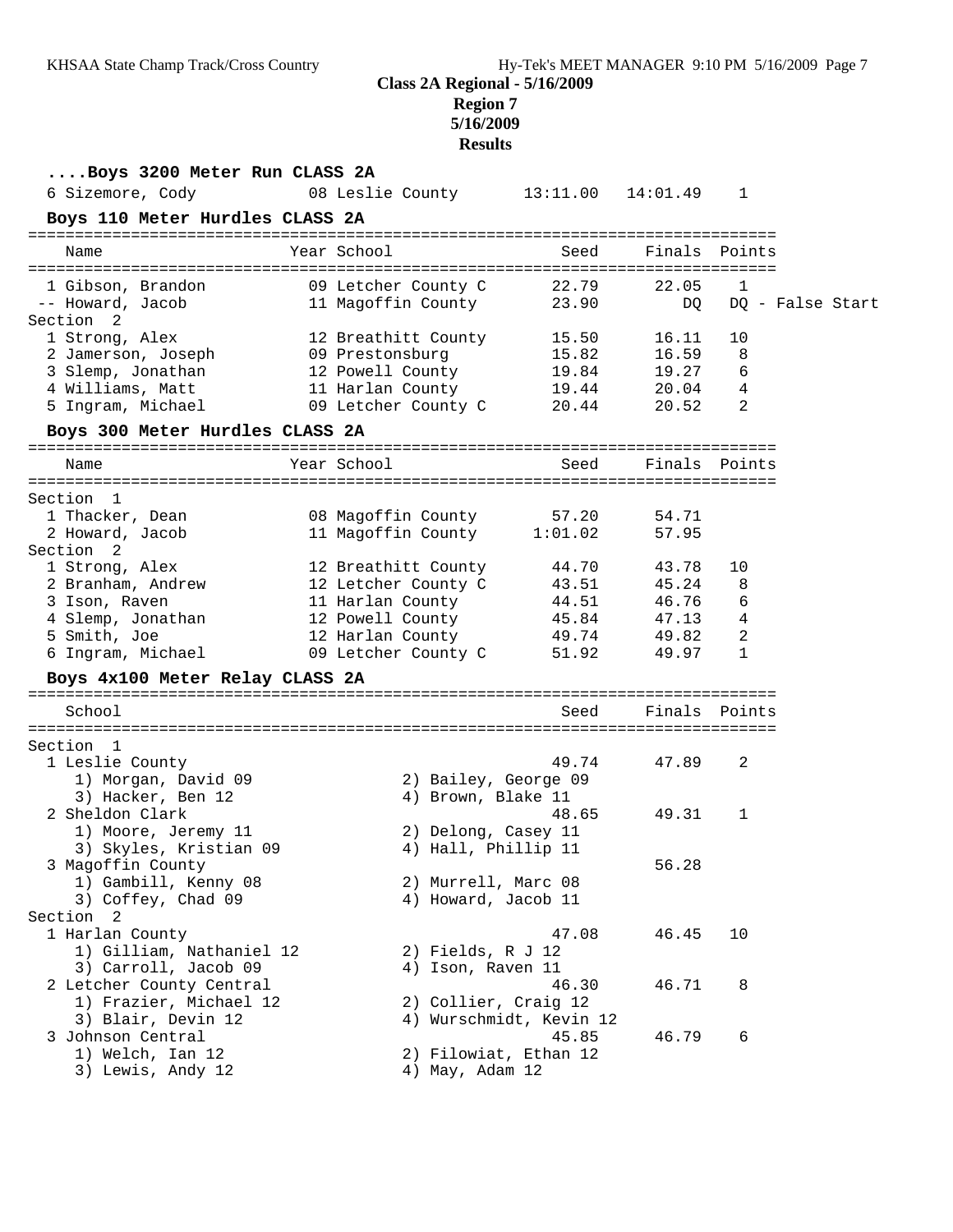## **Region 7**

**5/16/2009**

#### **Results**

**....Boys 3200 Meter Run CLASS 2A** 6 Sizemore, Cody 08 Leslie County 13:11.00 14:01.49 1 **Boys 110 Meter Hurdles CLASS 2A** ================================================================================ Name Year School Seed Finals Points ================================================================================ 1 Gibson, Brandon 09 Letcher County C 22.79 22.05 1 -- Howard, Jacob 11 Magoffin County 23.90 DQ DQ - False Start Section 2 1 Strong, Alex 12 Breathitt County 15.50 16.11 10 2 Jamerson, Joseph 09 Prestonsburg 15.82 16.59 8 3 Slemp, Jonathan 12 Powell County 19.84 19.27 6 4 Williams, Matt 11 Harlan County 19.44 20.04 4 5 Ingram, Michael 09 Letcher County C 20.44 20.52 2 **Boys 300 Meter Hurdles CLASS 2A** ================================================================================ Name Year School Seed Finals Points ================================================================================ Section 1 1 Thacker, Dean 08 Magoffin County 57.20 54.71 2 Howard, Jacob 11 Magoffin County 1:01.02 57.95 Section 2 1 Strong, Alex 12 Breathitt County 44.70 43.78 10 2 Branham, Andrew 12 Letcher County C 43.51 45.24 8 3 Ison, Raven 11 Harlan County 44.51 46.76 6 4 Slemp, Jonathan 12 Powell County 45.84 47.13 4 5 Smith, Joe 12 Harlan County 49.74 49.82 2 6 Ingram, Michael 09 Letcher County C 51.92 49.97 1 **Boys 4x100 Meter Relay CLASS 2A** ================================================================================ Seed Finals Points ================================================================================ Section 1 1 Leslie County 49.74 47.89 2 1) Morgan, David 09 2) Bailey, George 09 3) Hacker, Ben 12 (4) Brown, Blake 11 2 Sheldon Clark 48.65 49.31 1 1) Moore, Jeremy 11 2) Delong, Casey 11 3) Skyles, Kristian 09 4) Hall, Phillip 11 3 Magoffin County 56.28 1) Gambill, Kenny 08 2) Murrell, Marc 08 3) Gambill, Kenny 08 (2) Murrell, Marc 08<br>3) Coffey, Chad 09 (4) Howard, Jacob 11 Section 2 1 Harlan County 47.08 46.45 10 1) Gilliam, Nathaniel 12 2) Fields, R J 12 3) Carroll, Jacob 09 (4) Ison, Raven 11 2 Letcher County Central 46.30 46.71 8 1) Frazier, Michael 12 2) Collier, Craig 12 3) Blair, Devin 12 4) Wurschmidt, Kevin 12 3 Johnson Central 45.85 46.79 6 1) Welch, Ian 12 2) Filowiat, Ethan 12 3) Lewis, Andy 12 (4) May, Adam 12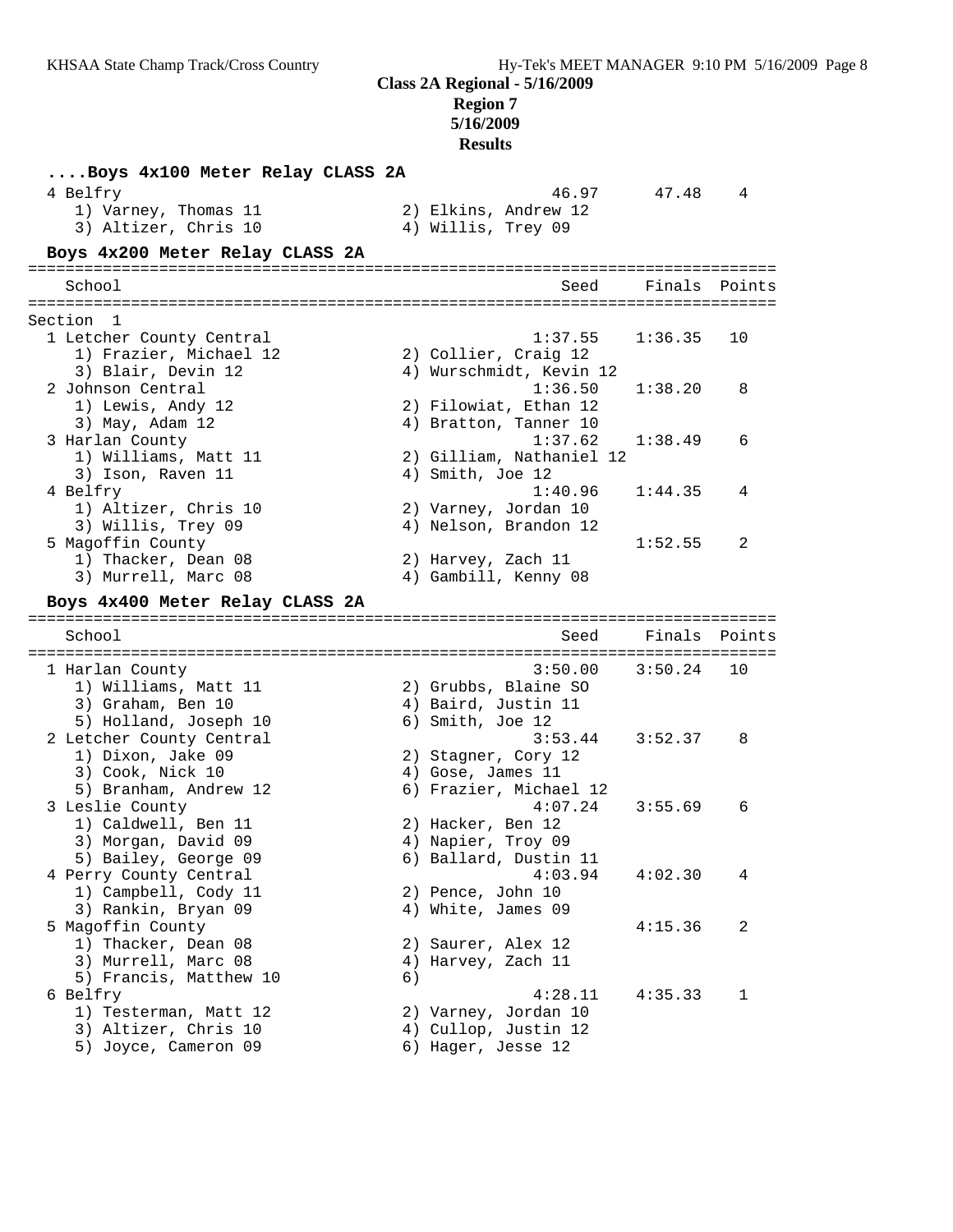## **Region 7**

**5/16/2009 Results**

**....Boys 4x100 Meter Relay CLASS 2A** 4 Belfry 16.97 47.48 4 1) Varney, Thomas 11 2) Elkins, Andrew 12 3) Altizer, Chris 10 4) Willis, Trey 09 **Boys 4x200 Meter Relay CLASS 2A** ================================================================================ School Seed Finals Points ================================================================================ Section 1 1 Letcher County Central 1:37.55 1:36.35 10 1) Frazier, Michael 12 2) Collier, Craig 12 3) Blair, Devin 12 4) Wurschmidt, Kevin 12 2 Johnson Central 1:36.50 1:38.20 8 1) Lewis, Andy 12 2) Filowiat, Ethan 12 3) May, Adam 12 4) Bratton, Tanner 10 3 Harlan County 1:37.62 1:38.49 6 1) Williams, Matt 11 2) Gilliam, Nathaniel 12 3) Ison, Raven 11 4) Smith, Joe 12 4 Belfry 1:40.96 1:44.35 4 1) Altizer, Chris 10 2) Varney, Jordan 10 3) Willis, Trey 09 4) Nelson, Brandon 12 5 Magoffin County 1:52.55 2 1) Thacker, Dean 08 2) Harvey, Zach 11 3) Murrell, Marc 08 4) Gambill, Kenny 08 **Boys 4x400 Meter Relay CLASS 2A** ================================================================================ School Seed Finals Points ================================================================================ 1 Harlan County 3:50.00 3:50.24 10 1) Williams, Matt 11 (2) Grubbs, Blaine SO 3) Graham, Ben 10 4) Baird, Justin 11 5) Holland, Joseph 10 (6) Smith, Joe 12 2 Letcher County Central 3:53.44 3:52.37 8 1) Dixon, Jake 09 2) Stagner, Cory 12 3) Cook, Nick 10 (4) Gose, James 11 5) Branham, Andrew 12 6) Frazier, Michael 12 3 Leslie County 4:07.24 3:55.69 6 1) Caldwell, Ben 11 2) Hacker, Ben 12 3) Morgan, David 09 (4) Napier, Troy 09 5) Bailey, George 09 6) Ballard, Dustin 11 4 Perry County Central 4:03.94 4:02.30 4 1) Campbell, Cody 11 2) Pence, John 10 3) Rankin, Bryan 09 4) White, James 09 5 Magoffin County 4:15.36 2 1) Thacker, Dean 08 2) Saurer, Alex 12 3) Murrell, Marc 08 4) Harvey, Zach 11 5) Francis, Matthew 10 6) 6 Belfry 4:28.11 4:35.33 1 1) Testerman, Matt 12 2) Varney, Jordan 10 3) Altizer, Chris 10 (4) Cullop, Justin 12 5) Joyce, Cameron 09 6) Hager, Jesse 12